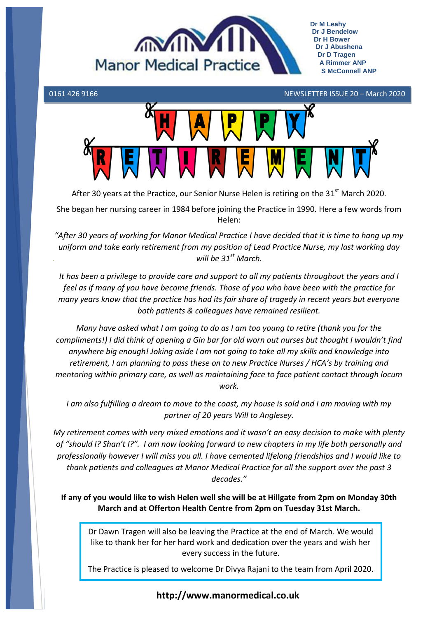



After 30 years at the Practice, our Senior Nurse Helen is retiring on the 31<sup>st</sup> March 2020.

She began her nursing career in 1984 before joining the Practice in 1990. Here a few words from Helen:

*"After 30 years of working for Manor Medical Practice I have decided that it is time to hang up my uniform and take early retirement from my position of Lead Practice Nurse, my last working day will be 31st March.*

*It has been a privilege to provide care and support to all my patients throughout the years and I feel as if many of you have become friends. Those of you who have been with the practice for many years know that the practice has had its fair share of tragedy in recent years but everyone both patients & colleagues have remained resilient.*

*Many have asked what I am going to do as I am too young to retire (thank you for the compliments!) I did think of opening a Gin bar for old worn out nurses but thought I wouldn't find anywhere big enough! Joking aside I am not going to take all my skills and knowledge into retirement, I am planning to pass these on to new Practice Nurses / HCA's by training and mentoring within primary care, as well as maintaining face to face patient contact through locum work.*

*I am also fulfilling a dream to move to the coast, my house is sold and I am moving with my partner of 20 years Will to Anglesey.*

*My retirement comes with very mixed emotions and it wasn't an easy decision to make with plenty of "should I? Shan't I?". I am now looking forward to new chapters in my life both personally and professionally however I will miss you all. I have cemented lifelong friendships and I would like to thank patients and colleagues at Manor Medical Practice for all the support over the past 3 decades."*

**If any of you would like to wish Helen well she will be at Hillgate from 2pm on Monday 30th March and at Offerton Health Centre from 2pm on Tuesday 31st March.**

Dr Dawn Tragen will also be leaving the Practice at the end of March. We would like to thank her for her hard work and dedication over the years and wish her every success in the future.

The Practice is pleased to welcome Dr Divya Rajani to the team from April 2020.

**http://www.manormedical.co.uk**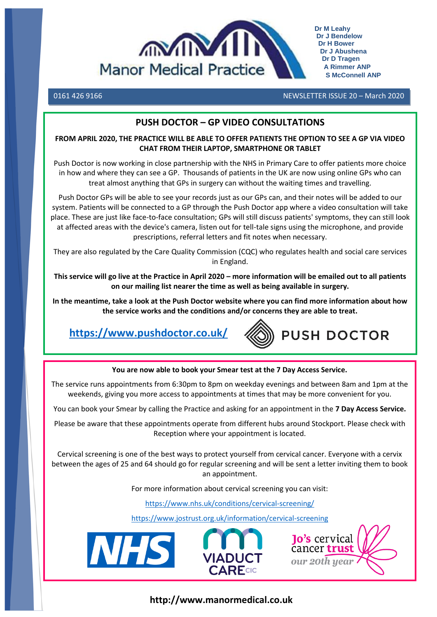

0161 426 9166 NEWSLETTER ISSUE 20 – March 2020

# **PUSH DOCTOR – GP VIDEO CONSULTATIONS**

#### **FROM APRIL 2020, THE PRACTICE WILL BE ABLE TO OFFER PATIENTS THE OPTION TO SEE A GP VIA VIDEO CHAT FROM THEIR LAPTOP, SMARTPHONE OR TABLET**

Push Doctor is now working in close partnership with the NHS in Primary Care to offer patients more choice in how and where they can see a GP. Thousands of patients in the UK are now using online GPs who can treat almost anything that GPs in surgery can without the waiting times and travelling.

Push Doctor GPs will be able to see your records just as our GPs can, and their notes will be added to our system. Patients will be connected to a GP through the Push Doctor app where a video consultation will take place. These are just like face-to-face consultation; GPs will still discuss patients' symptoms, they can still look at affected areas with the device's camera, listen out for tell-tale signs using the microphone, and provide prescriptions, referral letters and fit notes when necessary.

They are also regulated by the Care Quality Commission (CQC) who regulates health and social care services in England.

**This service will go live at the Practice in April 2020 – more information will be emailed out to all patients on our mailing list nearer the time as well as being available in surgery.** 

**In the meantime, take a look at the Push Doctor website where you can find more information about how the service works and the conditions and/or concerns they are able to treat.**

**<https://www.pushdoctor.co.uk/>**



**You are now able to book your Smear test at the 7 Day Access Service.**

The service runs appointments from 6:30pm to 8pm on weekday evenings and between 8am and 1pm at the weekends, giving you more access to appointments at times that may be more convenient for you.

You can book your Smear by calling the Practice and asking for an appointment in the **7 Day Access Service.**

Please be aware that these appointments operate from different hubs around Stockport. Please check with Reception where your appointment is located.

Cervical screening is one of the best ways to protect yourself from cervical cancer. Everyone with a cervix between the ages of 25 and 64 should go for regular screening and will be sent a letter inviting them to book an appointment.

For more information about cervical screening you can visit:

<https://www.nhs.uk/conditions/cervical-screening/>

<https://www.jostrust.org.uk/information/cervical-screening>







**http://www.manormedical.co.uk**